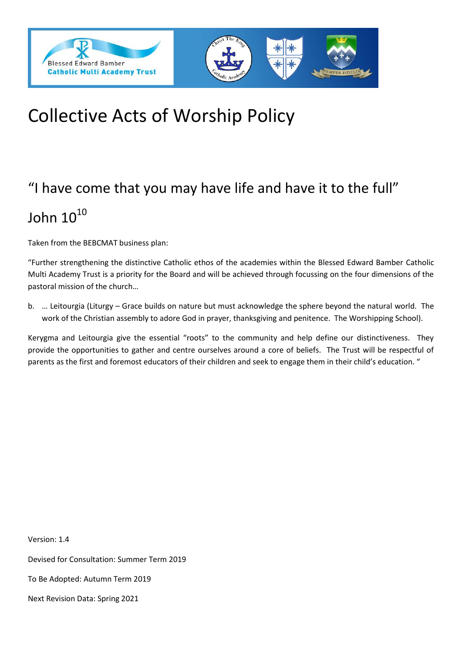



# Collective Acts of Worship Policy

## "I have come that you may have life and have it to the full" John  $10^{10}$

Taken from the BEBCMAT business plan:

"Further strengthening the distinctive Catholic ethos of the academies within the Blessed Edward Bamber Catholic Multi Academy Trust is a priority for the Board and will be achieved through focussing on the four dimensions of the pastoral mission of the church…

b. … Leitourgia (Liturgy – Grace builds on nature but must acknowledge the sphere beyond the natural world. The work of the Christian assembly to adore God in prayer, thanksgiving and penitence. The Worshipping School).

Kerygma and Leitourgia give the essential "roots" to the community and help define our distinctiveness. They provide the opportunities to gather and centre ourselves around a core of beliefs. The Trust will be respectful of parents as the first and foremost educators of their children and seek to engage them in their child's education. "

Version: 1.4 Devised for Consultation: Summer Term 2019 To Be Adopted: Autumn Term 2019 Next Revision Data: Spring 2021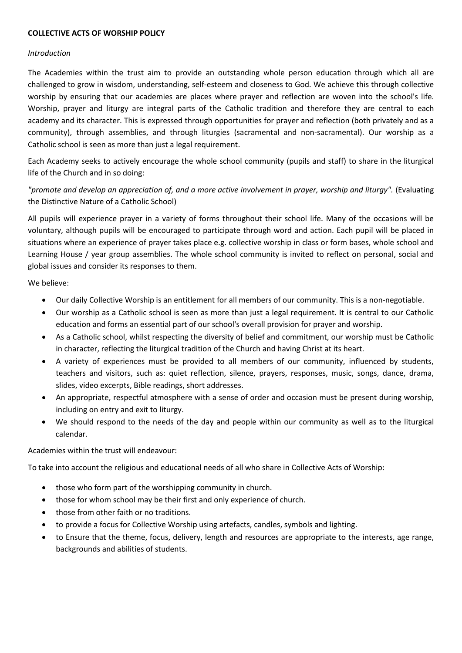#### **COLLECTIVE ACTS OF WORSHIP POLICY**

#### *Introduction*

The Academies within the trust aim to provide an outstanding whole person education through which all are challenged to grow in wisdom, understanding, self-esteem and closeness to God. We achieve this through collective worship by ensuring that our academies are places where prayer and reflection are woven into the school's life. Worship, prayer and liturgy are integral parts of the Catholic tradition and therefore they are central to each academy and its character. This is expressed through opportunities for prayer and reflection (both privately and as a community), through assemblies, and through liturgies (sacramental and non-sacramental). Our worship as a Catholic school is seen as more than just a legal requirement.

Each Academy seeks to actively encourage the whole school community (pupils and staff) to share in the liturgical life of the Church and in so doing:

## *"promote and develop an appreciation of, and a more active involvement in prayer, worship and liturgy".* (Evaluating the Distinctive Nature of a Catholic School)

All pupils will experience prayer in a variety of forms throughout their school life. Many of the occasions will be voluntary, although pupils will be encouraged to participate through word and action. Each pupil will be placed in situations where an experience of prayer takes place e.g. collective worship in class or form bases, whole school and Learning House / year group assemblies. The whole school community is invited to reflect on personal, social and global issues and consider its responses to them.

We believe:

- Our daily Collective Worship is an entitlement for all members of our community. This is a non-negotiable.
- Our worship as a Catholic school is seen as more than just a legal requirement. It is central to our Catholic education and forms an essential part of our school's overall provision for prayer and worship.
- As a Catholic school, whilst respecting the diversity of belief and commitment, our worship must be Catholic in character, reflecting the liturgical tradition of the Church and having Christ at its heart.
- A variety of experiences must be provided to all members of our community, influenced by students, teachers and visitors, such as: quiet reflection, silence, prayers, responses, music, songs, dance, drama, slides, video excerpts, Bible readings, short addresses.
- An appropriate, respectful atmosphere with a sense of order and occasion must be present during worship, including on entry and exit to liturgy.
- We should respond to the needs of the day and people within our community as well as to the liturgical calendar.

Academies within the trust will endeavour:

To take into account the religious and educational needs of all who share in Collective Acts of Worship:

- those who form part of the worshipping community in church.
- those for whom school may be their first and only experience of church.
- those from other faith or no traditions.
- to provide a focus for Collective Worship using artefacts, candles, symbols and lighting.
- to Ensure that the theme, focus, delivery, length and resources are appropriate to the interests, age range, backgrounds and abilities of students.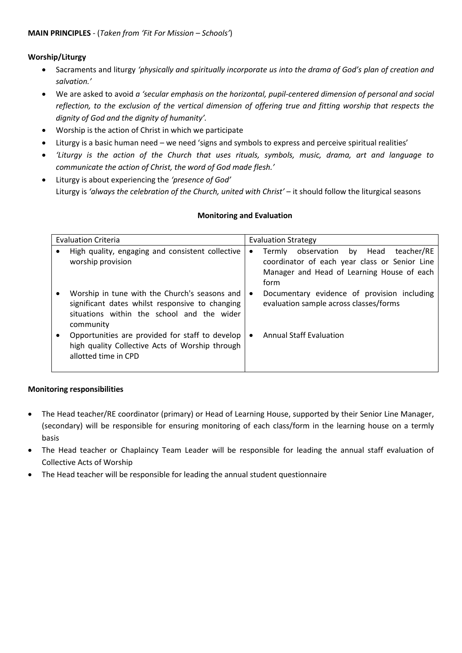## **Worship/Liturgy**

- Sacraments and liturgy *'physically and spiritually incorporate us into the drama of God's plan of creation and salvation.'*
- We are asked to avoid *a 'secular emphasis on the horizontal, pupil-centered dimension of personal and social reflection, to the exclusion of the vertical dimension of offering true and fitting worship that respects the dignity of God and the dignity of humanity'.*
- Worship is the action of Christ in which we participate
- Liturgy is a basic human need we need 'signs and symbols to express and perceive spiritual realities'
- *'Liturgy is the action of the Church that uses rituals, symbols, music, drama, art and language to communicate the action of Christ, the word of God made flesh.'*
- Liturgy is about experiencing the *'presence of God'* Liturgy is *'always the celebration of the Church, united with Christ'* – it should follow the liturgical seasons

#### **Monitoring and Evaluation**

| <b>Evaluation Criteria</b>                                                                                                                                  | <b>Evaluation Strategy</b>                                                                                                                                         |
|-------------------------------------------------------------------------------------------------------------------------------------------------------------|--------------------------------------------------------------------------------------------------------------------------------------------------------------------|
| High quality, engaging and consistent collective<br>٠<br>worship provision                                                                                  | by Head<br>teacher/RE<br>observation<br>Termly<br>$\bullet$<br>coordinator of each year class or Senior Line<br>Manager and Head of Learning House of each<br>form |
| Worship in tune with the Church's seasons and<br>significant dates whilst responsive to changing<br>situations within the school and the wider<br>community | Documentary evidence of provision including<br>evaluation sample across classes/forms                                                                              |
| Opportunities are provided for staff to develop<br>high quality Collective Acts of Worship through<br>allotted time in CPD                                  | <b>Annual Staff Evaluation</b>                                                                                                                                     |

## **Monitoring responsibilities**

- The Head teacher/RE coordinator (primary) or Head of Learning House, supported by their Senior Line Manager, (secondary) will be responsible for ensuring monitoring of each class/form in the learning house on a termly basis
- The Head teacher or Chaplaincy Team Leader will be responsible for leading the annual staff evaluation of Collective Acts of Worship
- The Head teacher will be responsible for leading the annual student questionnaire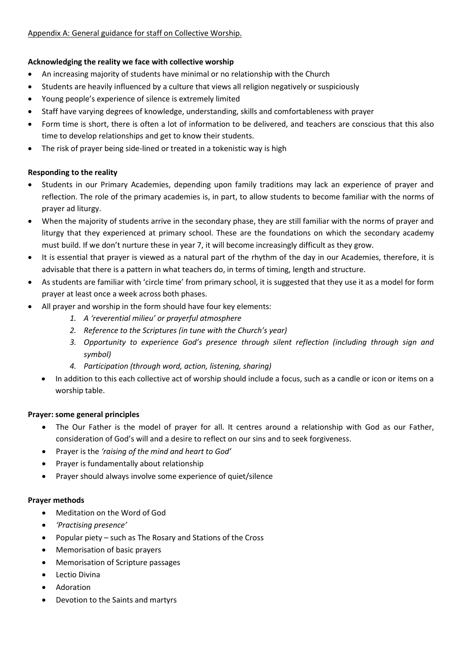## **Acknowledging the reality we face with collective worship**

- An increasing majority of students have minimal or no relationship with the Church
- Students are heavily influenced by a culture that views all religion negatively or suspiciously
- Young people's experience of silence is extremely limited
- Staff have varying degrees of knowledge, understanding, skills and comfortableness with prayer
- Form time is short, there is often a lot of information to be delivered, and teachers are conscious that this also time to develop relationships and get to know their students.
- The risk of prayer being side-lined or treated in a tokenistic way is high

## **Responding to the reality**

- Students in our Primary Academies, depending upon family traditions may lack an experience of prayer and reflection. The role of the primary academies is, in part, to allow students to become familiar with the norms of prayer ad liturgy.
- When the majority of students arrive in the secondary phase, they are still familiar with the norms of prayer and liturgy that they experienced at primary school. These are the foundations on which the secondary academy must build. If we don't nurture these in year 7, it will become increasingly difficult as they grow.
- It is essential that prayer is viewed as a natural part of the rhythm of the day in our Academies, therefore, it is advisable that there is a pattern in what teachers do, in terms of timing, length and structure.
- As students are familiar with 'circle time' from primary school, it is suggested that they use it as a model for form prayer at least once a week across both phases.
- All prayer and worship in the form should have four key elements:
	- *1. A 'reverential milieu' or prayerful atmosphere*
	- *2. Reference to the Scriptures (in tune with the Church's year)*
	- *3. Opportunity to experience God's presence through silent reflection (including through sign and symbol)*
	- *4. Participation (through word, action, listening, sharing)*
	- In addition to this each collective act of worship should include a focus, such as a candle or icon or items on a worship table.

## **Prayer: some general principles**

- The Our Father is the model of prayer for all. It centres around a relationship with God as our Father, consideration of God's will and a desire to reflect on our sins and to seek forgiveness.
- Prayer is the *'raising of the mind and heart to God'*
- Prayer is fundamentally about relationship
- Prayer should always involve some experience of quiet/silence

## **Prayer methods**

- Meditation on the Word of God
- *'Practising presence'*
- Popular piety such as The Rosary and Stations of the Cross
- Memorisation of basic prayers
- Memorisation of Scripture passages
- Lectio Divina
- Adoration
- Devotion to the Saints and martyrs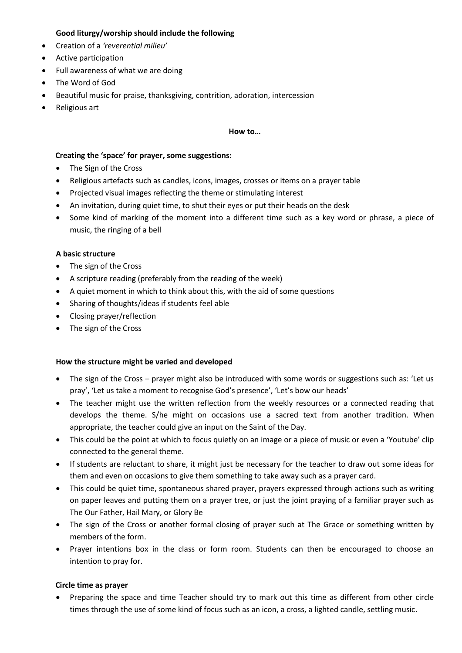### **Good liturgy/worship should include the following**

- Creation of a *'reverential milieu'*
- Active participation
- Full awareness of what we are doing
- The Word of God
- Beautiful music for praise, thanksgiving, contrition, adoration, intercession
- Religious art

#### **How to…**

## **Creating the 'space' for prayer, some suggestions:**

- The Sign of the Cross
- Religious artefacts such as candles, icons, images, crosses or items on a prayer table
- Projected visual images reflecting the theme or stimulating interest
- An invitation, during quiet time, to shut their eyes or put their heads on the desk
- Some kind of marking of the moment into a different time such as a key word or phrase, a piece of music, the ringing of a bell

## **A basic structure**

- The sign of the Cross
- A scripture reading (preferably from the reading of the week)
- A quiet moment in which to think about this, with the aid of some questions
- Sharing of thoughts/ideas if students feel able
- Closing prayer/reflection
- The sign of the Cross

#### **How the structure might be varied and developed**

- The sign of the Cross prayer might also be introduced with some words or suggestions such as: 'Let us pray', 'Let us take a moment to recognise God's presence', 'Let's bow our heads'
- The teacher might use the written reflection from the weekly resources or a connected reading that develops the theme. S/he might on occasions use a sacred text from another tradition. When appropriate, the teacher could give an input on the Saint of the Day.
- This could be the point at which to focus quietly on an image or a piece of music or even a 'Youtube' clip connected to the general theme.
- If students are reluctant to share, it might just be necessary for the teacher to draw out some ideas for them and even on occasions to give them something to take away such as a prayer card.
- This could be quiet time, spontaneous shared prayer, prayers expressed through actions such as writing on paper leaves and putting them on a prayer tree, or just the joint praying of a familiar prayer such as The Our Father, Hail Mary, or Glory Be
- The sign of the Cross or another formal closing of prayer such at The Grace or something written by members of the form.
- Prayer intentions box in the class or form room. Students can then be encouraged to choose an intention to pray for.

## **Circle time as prayer**

 Preparing the space and time Teacher should try to mark out this time as different from other circle times through the use of some kind of focus such as an icon, a cross, a lighted candle, settling music.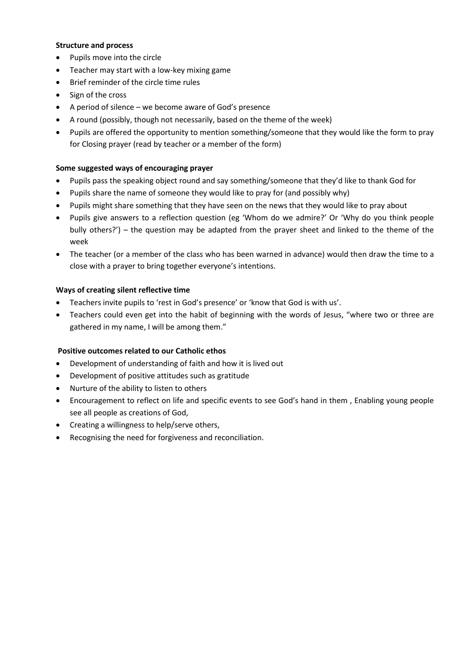#### **Structure and process**

- Pupils move into the circle
- Teacher may start with a low-key mixing game
- Brief reminder of the circle time rules
- Sign of the cross
- A period of silence we become aware of God's presence
- A round (possibly, though not necessarily, based on the theme of the week)
- Pupils are offered the opportunity to mention something/someone that they would like the form to pray for Closing prayer (read by teacher or a member of the form)

## **Some suggested ways of encouraging prayer**

- Pupils pass the speaking object round and say something/someone that they'd like to thank God for
- Pupils share the name of someone they would like to pray for (and possibly why)
- Pupils might share something that they have seen on the news that they would like to pray about
- Pupils give answers to a reflection question (eg 'Whom do we admire?' Or 'Why do you think people bully others?') – the question may be adapted from the prayer sheet and linked to the theme of the week
- The teacher (or a member of the class who has been warned in advance) would then draw the time to a close with a prayer to bring together everyone's intentions.

#### **Ways of creating silent reflective time**

- Teachers invite pupils to 'rest in God's presence' or 'know that God is with us'.
- Teachers could even get into the habit of beginning with the words of Jesus, "where two or three are gathered in my name, I will be among them."

#### **Positive outcomes related to our Catholic ethos**

- Development of understanding of faith and how it is lived out
- Development of positive attitudes such as gratitude
- Nurture of the ability to listen to others
- Encouragement to reflect on life and specific events to see God's hand in them , Enabling young people see all people as creations of God,
- Creating a willingness to help/serve others,
- Recognising the need for forgiveness and reconciliation.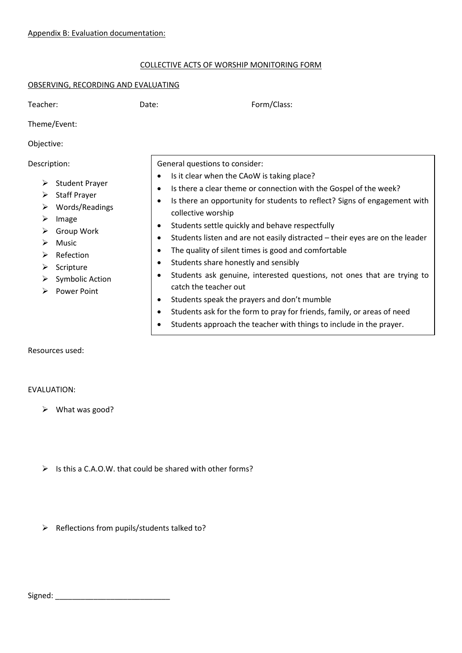#### COLLECTIVE ACTS OF WORSHIP MONITORING FORM

#### OBSERVING, RECORDING AND EVALUATING

Teacher: The Date: Date: The Property Class:

Theme/Event:

Objective:

Description:

- $\triangleright$  Student Prayer
- $\triangleright$  Staff Prayer
- Words/Readings
- $\triangleright$  Image
- $\triangleright$  Group Work
- $\triangleright$  Music
- $\triangleright$  Refection
- $\triangleright$  Scripture
- $\triangleright$  Symbolic Action
- $\triangleright$  Power Point

General questions to consider:

- Is it clear when the CAoW is taking place?
- Is there a clear theme or connection with the Gospel of the week?
- Is there an opportunity for students to reflect? Signs of engagement with collective worship
- Students settle quickly and behave respectfully
- Students listen and are not easily distracted their eyes are on the leader
- The quality of silent times is good and comfortable
- Students share honestly and sensibly
- Students ask genuine, interested questions, not ones that are trying to catch the teacher out
- Students speak the prayers and don't mumble
- Students ask for the form to pray for friends, family, or areas of need
- Students approach the teacher with things to include in the prayer.

#### Resources used:

#### EVALUATION:

- $\triangleright$  What was good?
- $\triangleright$  Is this a C.A.O.W. that could be shared with other forms?
- $\triangleright$  Reflections from pupils/students talked to?

Signed: \_\_\_\_\_\_\_\_\_\_\_\_\_\_\_\_\_\_\_\_\_\_\_\_\_\_\_